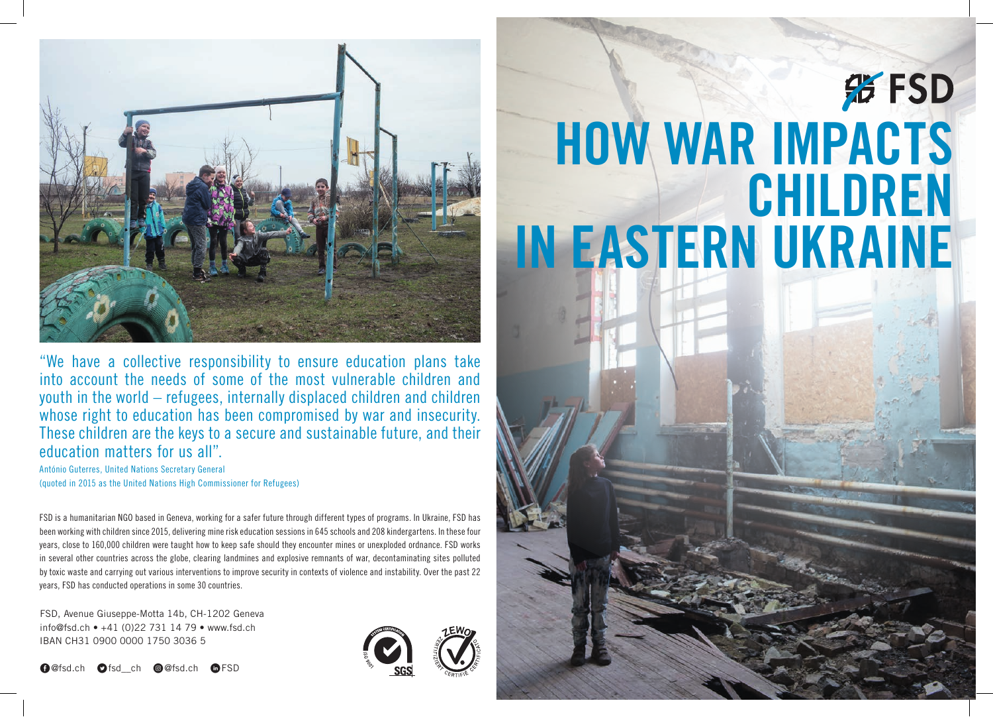

"We have a collective responsibility to ensure education plans take into account the needs of some of the most vulnerable children and youth in the world – refugees, internally displaced children and children whose right to education has been compromised by war and insecurity. These children are the keys to a secure and sustainable future, and their education matters for us all".

António Guterres, United Nations Secretary General (quoted in 2015 as the United Nations High Commissioner for Refugees)

FSD is a humanitarian NGO based in Geneva, working for a safer future through different types of programs. In Ukraine, FSD has been working with children since 2015, delivering mine risk education sessions in 645 schools and 208 kindergartens. In these four years, close to 160,000 children were taught how to keep safe should they encounter mines or unexploded ordnance. FSD works in several other countries across the globe, clearing landmines and explosive remnants of war, decontaminating sites polluted by toxic waste and carrying out various interventions to improve security in contexts of violence and instability. Over the past 22 years, FSD has conducted operations in some 30 countries.

FSD, Avenue Giuseppe-Motta 14b, CH-1202 Geneva info@fsd.ch • +41 (0)22 731 14 79 • www.fsd.ch IBAN CH31 0900 0000 1750 3036 5

E@fsd.ch Dfsd\_\_ch Q@fsd.ch CFSD



## **彩FSD How War Impacts Chi ldren In Eastern Ukraine**